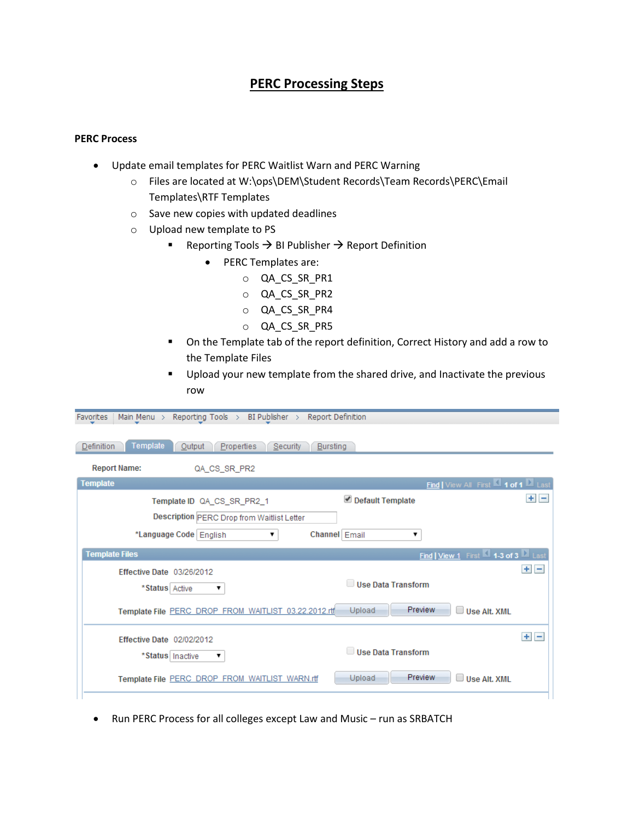# **PERC Processing Steps**

### **PERC Process**

- Update email templates for PERC Waitlist Warn and PERC Warning
	- o Files are located at W:\ops\DEM\Student Records\Team Records\PERC\Email Templates\RTF Templates
	- o Save new copies with updated deadlines
	- o Upload new template to PS

Favorites | Main Menu > Reporting Tools > BI Publisher > Report Definition

- Reporting Tools  $\rightarrow$  BI Publisher  $\rightarrow$  Report Definition
	- PERC Templates are:
		- o QA\_CS\_SR\_PR1
		- o QA\_CS\_SR\_PR2
		- o QA\_CS\_SR\_PR4
		- o QA\_CS\_SR\_PR5
- On the Template tab of the report definition, Correct History and add a row to the Template Files
- **Upload your new template from the shared drive, and Inactivate the previous** row

| Template<br>Definition<br><b>Properties</b><br>Output<br>Security<br><b>Bursting</b>             |         |
|--------------------------------------------------------------------------------------------------|---------|
| <b>Report Name:</b><br>QA CS SR PR2                                                              |         |
| Find   View All First 1 of 1 2 Last<br><b>Template</b>                                           |         |
| Default Template<br>Template ID QA_CS_SR_PR2_1                                                   | $+$ $-$ |
| Description PERC Drop from Waitlist Letter                                                       |         |
| *Language Code   English<br>Channel Email<br>▼<br>۷.                                             |         |
| <b>Template Files</b><br>Find   View 1 First 1 1-3 of 3 2 Last                                   |         |
| Effective Date 03/26/2012<br>Use Data Transform<br>*Status Active<br>▼                           | $+$ $-$ |
| Preview<br>Upload<br>Template File PERC DROP FROM WAITLIST 03.22.2012.rtf<br>$\Box$ Use Alt. XML |         |
| Effective Date 02/02/2012                                                                        | $+$ $-$ |
| Use Data Transform<br>*Status   Inactive<br>▼                                                    |         |
| Preview<br>Upload<br>$\Box$ Use Alt. XMI<br>Template File PERC DROP FROM WAITLIST WARN.rtf       |         |

• Run PERC Process for all colleges except Law and Music – run as SRBATCH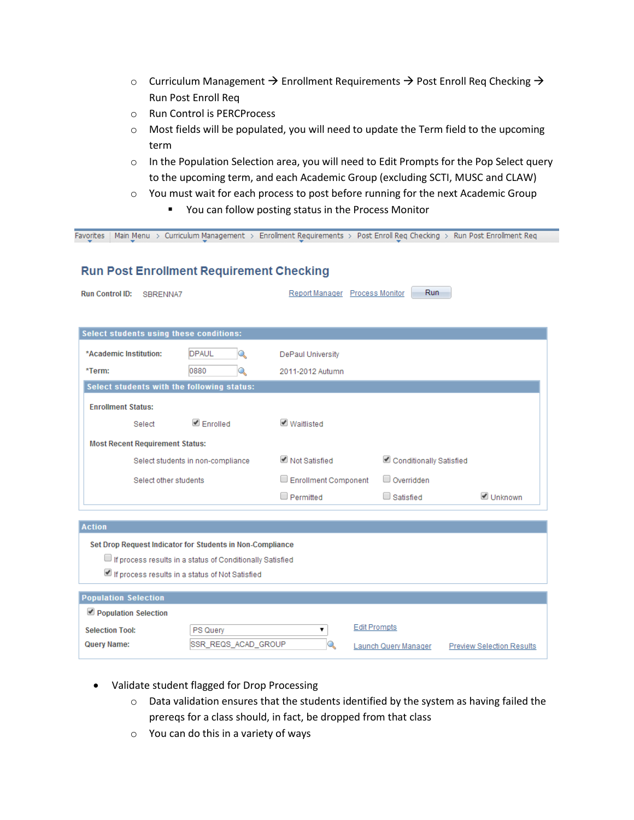- o Curriculum Management  $\rightarrow$  Enrollment Requirements  $\rightarrow$  Post Enroll Req Checking  $\rightarrow$ Run Post Enroll Req
- o Run Control is PERCProcess
- o Most fields will be populated, you will need to update the Term field to the upcoming term
- o In the Population Selection area, you will need to Edit Prompts for the Pop Select query to the upcoming term, and each Academic Group (excluding SCTI, MUSC and CLAW)
- o You must wait for each process to post before running for the next Academic Group
	- You can follow posting status in the Process Monitor

| <b>Run Control ID:</b><br>SBRENNA7             |                                                           | Report Manager Process Monitor | Run                     |           |
|------------------------------------------------|-----------------------------------------------------------|--------------------------------|-------------------------|-----------|
| <b>Select students using these conditions:</b> |                                                           |                                |                         |           |
| *Academic Institution:                         | <b>DPAUL</b><br>Q                                         | DePaul University              |                         |           |
| *Term:                                         | 0880<br>Q                                                 | 2011-2012 Autumn               |                         |           |
| Select students with the following status:     |                                                           |                                |                         |           |
| <b>Enrollment Status:</b>                      |                                                           |                                |                         |           |
| Select                                         | $\blacksquare$ Enrolled                                   | ■ Waitlisted                   |                         |           |
| <b>Most Recent Requirement Status:</b>         |                                                           |                                |                         |           |
|                                                | Select students in non-compliance                         | ■ Not Satisfied                | Conditionally Satisfied |           |
| Select other students                          |                                                           | Enrollment Component           | $\Box$ Overridden       |           |
|                                                |                                                           | $\Box$ Permitted               | $\Box$ Satisfied        | ■ Unknown |
| <b>Action</b>                                  |                                                           |                                |                         |           |
|                                                | Set Drop Request Indicator for Students in Non-Compliance |                                |                         |           |
|                                                | If process results in a status of Conditionally Satisfied |                                |                         |           |
|                                                | If process results in a status of Not Satisfied           |                                |                         |           |
| <b>Population Selection</b>                    |                                                           |                                |                         |           |
| Population Selection                           |                                                           |                                |                         |           |
| <b>Selection Tool:</b>                         | PS Query                                                  | ▼                              | <b>Edit Prompts</b>     |           |
|                                                |                                                           |                                |                         |           |

- Validate student flagged for Drop Processing
	- o Data validation ensures that the students identified by the system as having failed the prereqs for a class should, in fact, be dropped from that class
	- o You can do this in a variety of ways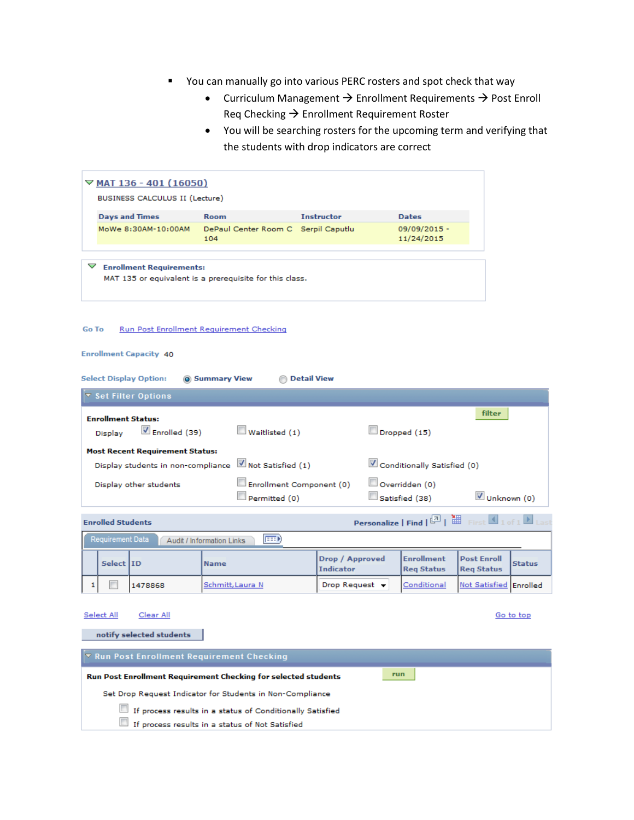- You can manually go into various PERC rosters and spot check that way
	- Curriculum Management  $\rightarrow$  Enrollment Requirements  $\rightarrow$  Post Enroll Req Checking  $\rightarrow$  Enrollment Requirement Roster
	- You will be searching rosters for the upcoming term and verifying that the students with drop indicators are correct

|       |                           | $\nabla$ MAT 136 - 401 (16050)                                                                      |              |                                     |                    |                                     |                                        |                                         |               |
|-------|---------------------------|-----------------------------------------------------------------------------------------------------|--------------|-------------------------------------|--------------------|-------------------------------------|----------------------------------------|-----------------------------------------|---------------|
|       |                           | BUSINESS CALCULUS II (Lecture)                                                                      |              |                                     |                    |                                     |                                        |                                         |               |
|       | <b>Days and Times</b>     |                                                                                                     | <b>Room</b>  |                                     |                    | <b>Instructor</b>                   | <b>Dates</b>                           |                                         |               |
|       |                           | MoWe 8:30AM-10:00AM                                                                                 | 104          | DePaul Center Room C Serpil Caputlu |                    |                                     | 09/09/2015 -<br>11/24/2015             |                                         |               |
|       |                           | $\triangledown$ Enrollment Requirements:<br>MAT 135 or equivalent is a prerequisite for this class. |              |                                     |                    |                                     |                                        |                                         |               |
| Go To |                           | Run Post Enrollment Requirement Checking<br>Enrollment Capacity 40<br><b>Select Display Option:</b> | Summary View |                                     | <b>Detail View</b> |                                     |                                        |                                         |               |
|       |                           | ▼ Set Filter Options                                                                                |              |                                     |                    |                                     |                                        |                                         |               |
|       | <b>Enrollment Status:</b> |                                                                                                     |              |                                     |                    |                                     |                                        | filter                                  |               |
|       | Display                   | Enrolled (39)                                                                                       |              | Waitlisted (1)                      |                    |                                     | $\square$ Dropped (15)                 |                                         |               |
|       |                           | <b>Most Recent Requirement Status:</b>                                                              |              |                                     |                    |                                     |                                        |                                         |               |
|       |                           | Display students in non-compliance                                                                  |              | Not Satisfied (1)                   |                    |                                     | Conditionally Satisfied (0)            |                                         |               |
|       |                           | Display other students                                                                              |              | Enrollment Component (0)            |                    |                                     | Overridden (0)                         |                                         |               |
|       |                           |                                                                                                     |              | Permitted (0)                       |                    |                                     | $\square$ Satisfied (38)               | Unknown (0)                             |               |
|       | <b>Enrolled Students</b>  |                                                                                                     |              |                                     |                    |                                     | Personalize   Find   2   H Finst       |                                         |               |
|       | <b>Requirement Data</b>   | Audit / Information Links                                                                           |              | <b>EED</b>                          |                    |                                     |                                        |                                         |               |
|       | Select ID                 |                                                                                                     | <b>Name</b>  |                                     |                    | Drop / Approved<br><b>Indicator</b> | <b>Enrollment</b><br><b>Req Status</b> | <b>Post Enroll</b><br><b>Req Status</b> | <b>Status</b> |
| 1     |                           | 1478868                                                                                             |              | Schmitt, Laura N                    |                    | Drop Request $\blacktriangledown$   | Conditional                            | Not Satisfied Enrolled                  |               |
|       | Select All                | Clear All<br>notify selected students                                                               |              |                                     |                    |                                     |                                        |                                         | Go to top     |
|       |                           | <b>V</b> Run Post Enrollment Requirement Checking                                                   |              |                                     |                    |                                     |                                        |                                         |               |
|       |                           |                                                                                                     |              |                                     |                    |                                     |                                        |                                         |               |

| Run Post Enrollment Requirement Checking for selected students | run |  |
|----------------------------------------------------------------|-----|--|
| Set Drop Request Indicator for Students in Non-Compliance      |     |  |
| If process results in a status of Conditionally Satisfied      |     |  |
| If process results in a status of Not Satisfied                |     |  |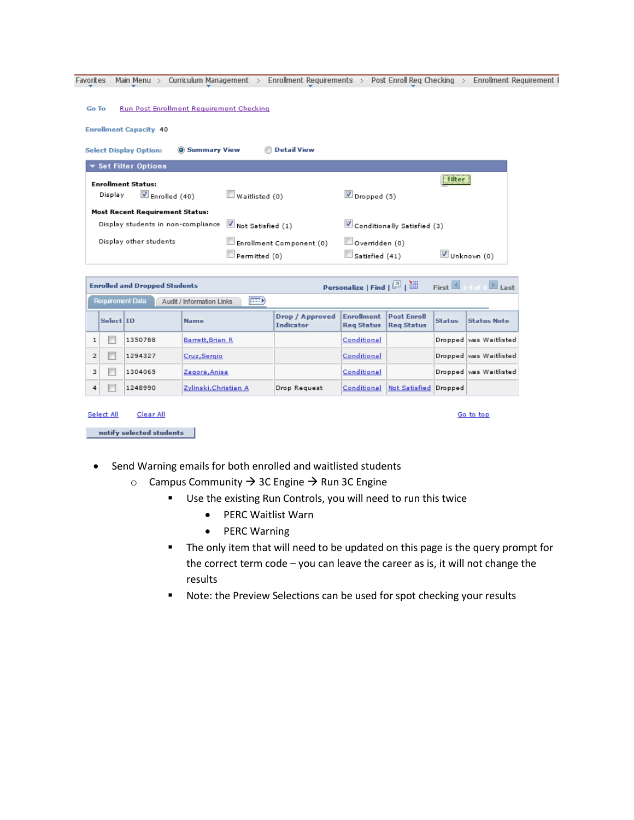Favorites | Main Menu > Curriculum Management > Enrollment Requirements > Post Enroll Req Checking > Enrollment Requirement F

| Go To |  |  | Run Post Enrollment Requirement Checking |  |
|-------|--|--|------------------------------------------|--|
|-------|--|--|------------------------------------------|--|

**Enrollment Capacity 40** 

| <b>O</b> Summary View<br><b>Select Display Option:</b> | <b>Detail View</b>                        |                                                        |
|--------------------------------------------------------|-------------------------------------------|--------------------------------------------------------|
| ▼ Set Filter Options                                   |                                           |                                                        |
| <b>Enrollment Status:</b>                              |                                           | <br>filter<br>,,,,,,,,,,,,,,,,,,,,                     |
| $\blacksquare$ Enrolled (40)<br>Display                | Waitlisted (0)                            | $\blacksquare$ Dropped (5)                             |
| <b>Most Recent Requirement Status:</b>                 |                                           |                                                        |
| Display students in non-compliance                     | Not Satisfied (1)                         | Conditionally Satisfied (3)                            |
| Display other students                                 | Enrollment Component (0)<br>Permitted (0) | Overridden (0)<br>Unknown (0)<br>$\Box$ Satisfied (41) |

|                |                         | <b>Enrolled and Dropped Students</b> |                                    |                                     |                                        |                                         |               | <b>Personalize   Find   <math>\boxed{2}</math>   <math>\boxed{3}</math>   First   1-4 of 4   Last</b> |
|----------------|-------------------------|--------------------------------------|------------------------------------|-------------------------------------|----------------------------------------|-----------------------------------------|---------------|-------------------------------------------------------------------------------------------------------|
|                | <b>Requirement Data</b> |                                      | (BBI)<br>Audit / Information Links |                                     |                                        |                                         |               |                                                                                                       |
|                | Select ID               |                                      | <b>Name</b>                        | Drop / Approved<br><b>Indicator</b> | <b>Enrollment</b><br><b>Rea Status</b> | <b>Post Enroll</b><br><b>Rea Status</b> | <b>Status</b> | <b>Status Note</b>                                                                                    |
| 1              |                         | 1350788                              | Barrett, Brian R                   |                                     | Conditional                            |                                         |               | Dropped was Waitlisted                                                                                |
| $\overline{2}$ |                         | 1294327                              | Cruz, Sergio                       |                                     | Conditional                            |                                         |               | Dropped was Waitlisted                                                                                |
| з              |                         | 1304065                              | Zagora, Anisa                      |                                     | Conditional                            |                                         |               | Dropped was Waitlisted                                                                                |
| 4              |                         | 1248990                              | Zylinski, Christian A              | Drop Request                        | Conditional                            | Not Satisfied Dropped                   |               |                                                                                                       |

| Select All | Clear All                |
|------------|--------------------------|
|            |                          |
|            | notify selected students |

- Send Warning emails for both enrolled and waitlisted students
	- $\circ$  Campus Community  $\rightarrow$  3C Engine  $\rightarrow$  Run 3C Engine
		- Use the existing Run Controls, you will need to run this twice
			- PERC Waitlist Warn
			- PERC Warning
		- **The only item that will need to be updated on this page is the query prompt for** the correct term code – you can leave the career as is, it will not change the results

Go to top

**Note: the Preview Selections can be used for spot checking your results**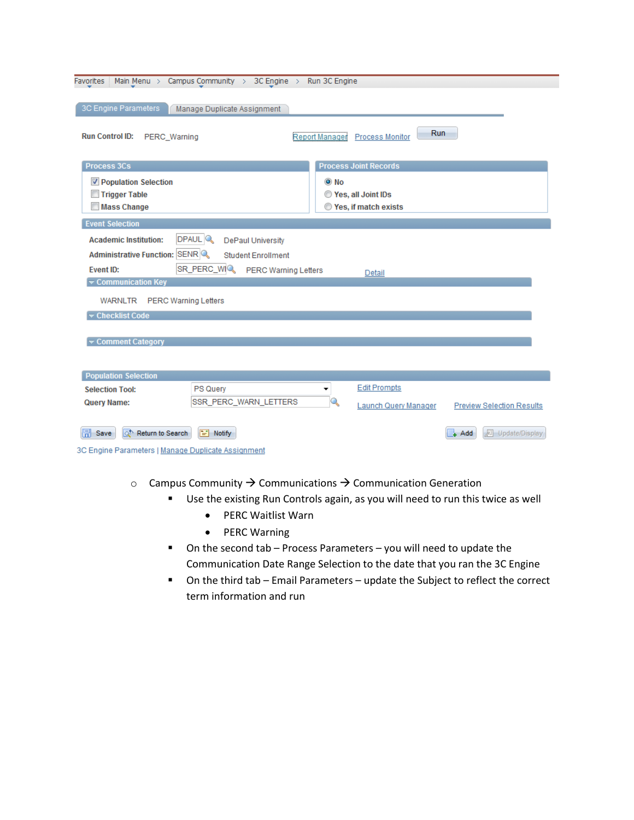| <b>Favorites</b>                                   | Main Menu > Campus Community > 3C Engine > Run 3C Engine |                       |                               |                                  |
|----------------------------------------------------|----------------------------------------------------------|-----------------------|-------------------------------|----------------------------------|
|                                                    |                                                          |                       |                               |                                  |
| 3C Engine Parameters                               | Manage Duplicate Assignment                              |                       |                               |                                  |
| <b>Run Control ID:</b><br>PERC Warning             |                                                          | <b>Report Manager</b> | Run<br><b>Process Monitor</b> |                                  |
| <b>Process 3Cs</b>                                 |                                                          |                       | <b>Process Joint Records</b>  |                                  |
| <b>V</b> Population Selection                      |                                                          | $\odot$ No            |                               |                                  |
| Trigger Table                                      |                                                          |                       | Yes, all Joint IDs            |                                  |
| <b>Mass Change</b>                                 |                                                          |                       | Yes, if match exists          |                                  |
| <b>Event Selection</b>                             |                                                          |                       |                               |                                  |
| <b>Academic Institution:</b>                       | DPAUL <sup>Q</sup><br><b>DePaul University</b>           |                       |                               |                                  |
| Administrative Function: SENR                      | <b>Student Enrollment</b>                                |                       |                               |                                  |
| <b>Event ID:</b>                                   | SR_PERC_WIQ<br><b>PERC Warning Letters</b>               |                       | Detail                        |                                  |
| $\blacktriangleright$ Communication Key            |                                                          |                       |                               |                                  |
| <b>PERC Warning Letters</b><br>WARNLTR             |                                                          |                       |                               |                                  |
| Checklist Code                                     |                                                          |                       |                               |                                  |
|                                                    |                                                          |                       |                               |                                  |
| Comment Category                                   |                                                          |                       |                               |                                  |
|                                                    |                                                          |                       |                               |                                  |
| <b>Population Selection</b>                        |                                                          |                       |                               |                                  |
| <b>Selection Tool:</b>                             | <b>PS Query</b>                                          | ۰                     | <b>Edit Prompts</b>           |                                  |
| <b>Query Name:</b>                                 | SSR_PERC_WARN_LETTERS                                    | Q                     | Launch Query Manager          | <b>Preview Selection Results</b> |
|                                                    |                                                          |                       |                               |                                  |
| 圖<br>ಮ<br>Return to Search<br>Save                 | $\boxed{=}$ Notify                                       |                       |                               | <b>四 Update/Display</b><br>Add   |
| 3C Engine Parameters   Manage Duplicate Assignment |                                                          |                       |                               |                                  |

- $\circ$  Campus Community  $\rightarrow$  Communications  $\rightarrow$  Communication Generation
	- Use the existing Run Controls again, as you will need to run this twice as well
		- PERC Waitlist Warn
		- PERC Warning
	- On the second tab Process Parameters you will need to update the Communication Date Range Selection to the date that you ran the 3C Engine
	- On the third tab Email Parameters update the Subject to reflect the correct term information and run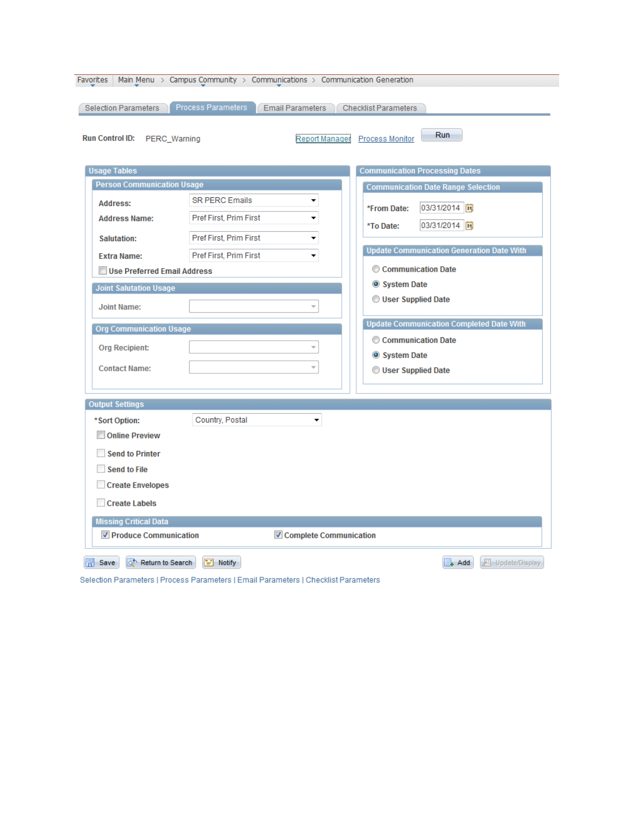| Favorites i<br>Selection Parameters                                                                                                                           | Main Menu > Campus Community > Communications > Communication Generation<br>Process Parameters | <b>Email Parameters</b>  | <b>Checklist Parameters</b>                                                                                                                         |
|---------------------------------------------------------------------------------------------------------------------------------------------------------------|------------------------------------------------------------------------------------------------|--------------------------|-----------------------------------------------------------------------------------------------------------------------------------------------------|
| <b>Run Control ID:</b><br>PERC_Warning<br><b>Usage Tables</b><br><b>Person Communication Usage</b><br><b>Address:</b>                                         | <b>SR PERC Emails</b>                                                                          | Report Manager<br>▼      | <b>Run</b><br>Process Monitor<br><b>Communication Processing Dates</b><br><b>Communication Date Range Selection</b><br>03/31/2014  司<br>*From Date: |
| <b>Address Name:</b><br><b>Salutation:</b><br><b>Extra Name:</b>                                                                                              | Pref First, Prim First<br>Pref First, Prim First<br>Pref First, Prim First                     | ۰<br>▼<br>۰.             | 03/31/2014  司<br>*To Date:<br><b>Update Communication Generation Date With</b>                                                                      |
| Use Preferred Email Address<br><b>Joint Salutation Usage</b><br><b>Joint Name:</b>                                                                            |                                                                                                | $\overline{\phantom{a}}$ | Communication Date<br>System Date<br>User Supplied Date                                                                                             |
| <b>Org Communication Usage</b><br><b>Org Recipient:</b><br><b>Contact Name:</b>                                                                               |                                                                                                | $\overline{\phantom{a}}$ | <b>Update Communication Completed Date With</b><br>Communication Date<br>System Date<br>User Supplied Date                                          |
| <b>Output Settings</b><br>*Sort Option:<br><b>Online Preview</b><br><b>Send to Printer</b><br><b>Send to File</b><br><b>Create Envelopes</b><br>Create Labels | Country, Postal                                                                                | ۰                        |                                                                                                                                                     |
| <b>Missing Critical Data</b><br><b>▽ Produce Communication</b>                                                                                                |                                                                                                | Complete Communication   |                                                                                                                                                     |
| Return to Search<br>뒤 Save                                                                                                                                    | $\equiv$ Notify                                                                                |                          | <b>D</b> Update/Display<br>$+$ Add                                                                                                                  |

Selection Parameters | Process Parameters | Email Parameters | Checklist Parameters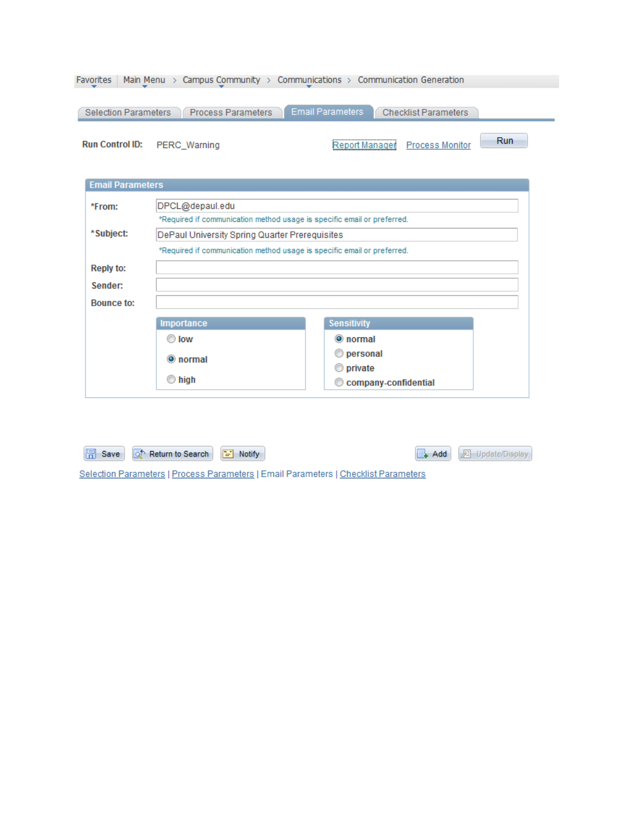| <b>Favorites</b> | Main Menu $>$           | Campus Community $\rightarrow$ Communications $\rightarrow$ Communication Generation |                         |                             |     |
|------------------|-------------------------|--------------------------------------------------------------------------------------|-------------------------|-----------------------------|-----|
|                  | Selection Parameters    | <b>Process Parameters</b>                                                            | <b>Email Parameters</b> | <b>Checklist Parameters</b> |     |
|                  | <b>Run Control ID:</b>  | PERC Warning                                                                         | Report Manager          | <b>Process Monitor</b>      | Run |
|                  | <b>Email Parameters</b> |                                                                                      |                         |                             |     |
| *From:           |                         | DPCL@depaul.edu                                                                      |                         |                             |     |
|                  |                         | *Required if communication method usage is specific email or preferred.              |                         |                             |     |
|                  | *Subject:               | DePaul University Spring Quarter Prerequisites                                       |                         |                             |     |
|                  |                         | *Required if communication method usage is specific email or preferred.              |                         |                             |     |
|                  | <b>Reply to:</b>        |                                                                                      |                         |                             |     |
|                  | Sender:                 |                                                                                      |                         |                             |     |
|                  |                         |                                                                                      |                         |                             |     |

| <b>Bounce to:</b> |                     |                      |
|-------------------|---------------------|----------------------|
|                   | Importance          | <b>Sensitivity</b>   |
|                   | $\odot$ low         | to normal            |
|                   | <b>O</b> normal     | tersonal             |
|                   |                     | <b>O</b> private     |
|                   | $\circledcirc$ high | Company-confidential |

| Save & Return to Search <b>F</b> Notify                                             | Add <b>E</b> Update/Display |
|-------------------------------------------------------------------------------------|-----------------------------|
| Selection Parameters   Process Parameters   Email Parameters   Checklist Parameters |                             |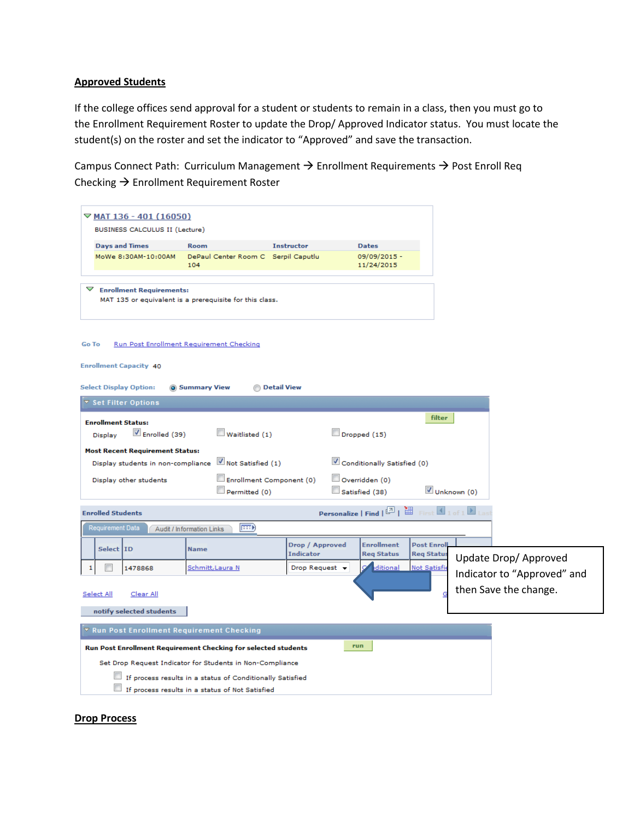#### **Approved Students**

If the college offices send approval for a student or students to remain in a class, then you must go to the Enrollment Requirement Roster to update the Drop/ Approved Indicator status. You must locate the student(s) on the roster and set the indicator to "Approved" and save the transaction.

Campus Connect Path: Curriculum Management  $\rightarrow$  Enrollment Requirements  $\rightarrow$  Post Enroll Req Checking  $\rightarrow$  Enrollment Requirement Roster

|              |                          | $\nabla$ MAT 136 - 401 (16050)                                                                      |                                                                |                                     |                                                                                                             |                                         |             |                             |
|--------------|--------------------------|-----------------------------------------------------------------------------------------------------|----------------------------------------------------------------|-------------------------------------|-------------------------------------------------------------------------------------------------------------|-----------------------------------------|-------------|-----------------------------|
|              |                          | BUSINESS CALCULUS II (Lecture)                                                                      |                                                                |                                     |                                                                                                             |                                         |             |                             |
|              |                          | <b>Days and Times</b>                                                                               | <b>Room</b>                                                    | <b>Instructor</b>                   | <b>Dates</b>                                                                                                |                                         |             |                             |
|              |                          | MoWe 8:30AM-10:00AM                                                                                 | DePaul Center Room C Serpil Caputlu<br>104                     |                                     | 09/09/2015 -<br>11/24/2015                                                                                  |                                         |             |                             |
| ▽            |                          | <b>Enrollment Requirements:</b>                                                                     | MAT 135 or equivalent is a prerequisite for this class.        |                                     |                                                                                                             |                                         |             |                             |
| <b>Go To</b> |                          | <b>Enrollment Capacity 40</b>                                                                       | Run Post Enrollment Requirement Checking                       |                                     |                                                                                                             |                                         |             |                             |
|              |                          | <b>Select Display Option:</b>                                                                       | <b>O</b> Summary View                                          | <b>Detail View</b>                  |                                                                                                             |                                         |             |                             |
|              |                          | ▼ Set Filter Options                                                                                |                                                                |                                     |                                                                                                             |                                         |             |                             |
|              | <b>Display</b>           | <b>Enrollment Status:</b><br>$\blacksquare$ Enrolled (39)<br><b>Most Recent Requirement Status:</b> | $\Box$ Waitlisted (1)                                          |                                     | Dropped (15)                                                                                                | filter                                  |             |                             |
|              |                          | Display students in non-compliance                                                                  | Not Satisfied (1)                                              |                                     | Conditionally Satisfied (0)                                                                                 |                                         |             |                             |
|              |                          | Display other students                                                                              | Enrollment Component (0)<br>Permitted (0)                      |                                     | Overridden (0)<br>Satisfied (38)                                                                            |                                         | Unknown (0) |                             |
|              | <b>Enrolled Students</b> |                                                                                                     |                                                                |                                     | <b>Personalize   Find   <math>\boxed{2}</math>   <math>\boxed{3}</math></b> First $\boxed{1 \text{ of } 1}$ |                                         |             |                             |
|              | <b>Requirement Data</b>  |                                                                                                     | (EEF)<br>Audit / Information Links                             |                                     |                                                                                                             |                                         |             |                             |
|              | Select ID                |                                                                                                     | <b>Name</b>                                                    | Drop / Approved<br><b>Indicator</b> | <b>Enrollment</b><br><b>Reg Status</b>                                                                      | <b>Post Enroll</b><br><b>Reg Status</b> |             | Update Drop/ Approved       |
| 1            |                          | 1478868                                                                                             | Schmitt, Laura N                                               | Drop Request $\blacktriangledown$   | ditional                                                                                                    | <b>Not Satisfie</b>                     |             | Indicator to "Approved" and |
| Select All   |                          | Clear All<br>notify selected students                                                               |                                                                |                                     |                                                                                                             |                                         |             | then Save the change.       |
|              |                          |                                                                                                     | ▼ Run Post Enrollment Requirement Checking                     |                                     |                                                                                                             |                                         |             |                             |
|              |                          |                                                                                                     | Run Post Enrollment Requirement Checking for selected students |                                     | run                                                                                                         |                                         |             |                             |
|              |                          |                                                                                                     | Set Drop Request Indicator for Students in Non-Compliance      |                                     |                                                                                                             |                                         |             |                             |
|              |                          |                                                                                                     | If process results in a status of Conditionally Satisfied      |                                     |                                                                                                             |                                         |             |                             |
|              |                          |                                                                                                     | If process results in a status of Not Satisfied                |                                     |                                                                                                             |                                         |             |                             |

#### **Drop Process**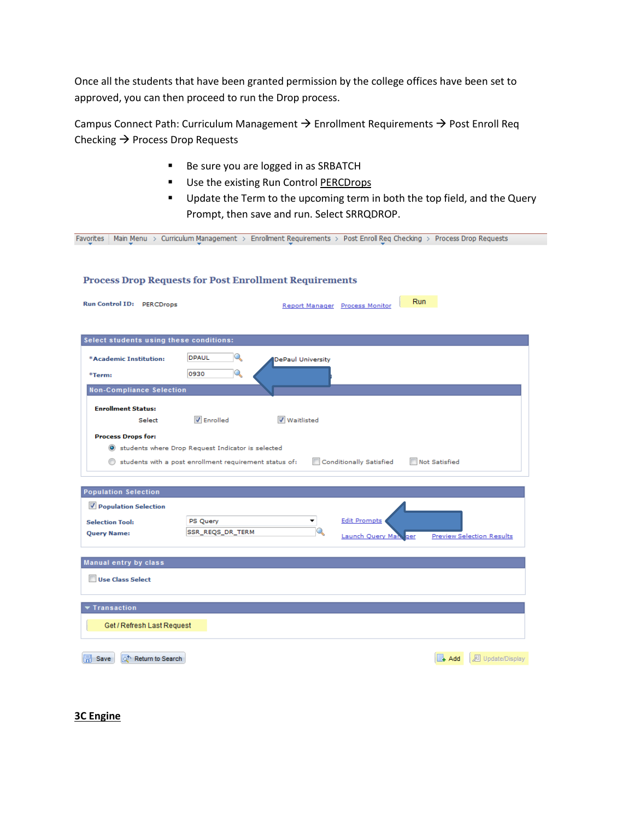Once all the students that have been granted permission by the college offices have been set to approved, you can then proceed to run the Drop process.

Campus Connect Path: Curriculum Management  $\rightarrow$  Enrollment Requirements  $\rightarrow$  Post Enroll Req Checking  $\rightarrow$  Process Drop Requests

- Be sure you are logged in as SRBATCH
- Use the existing Run Control PERCDrops
- **Update the Term to the upcoming term in both the top field, and the Query** Prompt, then save and run. Select SRRQDROP.

| Favorites                                                     |                                                        |                          |                                              | Main Menu > Curriculum Management > Enrollment Requirements > Post Enroll Req Checking > Process Drop Requests |
|---------------------------------------------------------------|--------------------------------------------------------|--------------------------|----------------------------------------------|----------------------------------------------------------------------------------------------------------------|
|                                                               |                                                        |                          |                                              |                                                                                                                |
|                                                               |                                                        |                          |                                              |                                                                                                                |
| <b>Process Drop Requests for Post Enrollment Requirements</b> |                                                        |                          |                                              |                                                                                                                |
|                                                               |                                                        |                          |                                              |                                                                                                                |
| Run Control ID: PERCDrops                                     |                                                        |                          | <b>Run</b><br>Report Manager Process Monitor |                                                                                                                |
|                                                               |                                                        |                          |                                              |                                                                                                                |
|                                                               |                                                        |                          |                                              |                                                                                                                |
| Select students using these conditions:                       |                                                        |                          |                                              |                                                                                                                |
|                                                               |                                                        |                          |                                              |                                                                                                                |
| *Academic Institution:                                        | Q<br>DPAUL                                             | <b>DePaul University</b> |                                              |                                                                                                                |
| *Term:                                                        | Q<br>0930                                              |                          |                                              |                                                                                                                |
|                                                               |                                                        |                          |                                              |                                                                                                                |
| <b>Non-Compliance Selection</b>                               |                                                        |                          |                                              |                                                                                                                |
| <b>Enrollment Status:</b>                                     |                                                        |                          |                                              |                                                                                                                |
| Select                                                        | <b>V</b> Enrolled                                      | <b>V</b> Waitlisted      |                                              |                                                                                                                |
|                                                               |                                                        |                          |                                              |                                                                                                                |
| <b>Process Drops for:</b>                                     |                                                        |                          |                                              |                                                                                                                |
|                                                               | Students where Drop Request Indicator is selected      |                          |                                              |                                                                                                                |
|                                                               |                                                        |                          |                                              |                                                                                                                |
|                                                               | students with a post enrollment requirement status of: |                          | Conditionally Satisfied                      | Not Satisfied                                                                                                  |
|                                                               |                                                        |                          |                                              |                                                                                                                |
|                                                               |                                                        |                          |                                              |                                                                                                                |
| <b>Population Selection</b>                                   |                                                        |                          |                                              |                                                                                                                |
| Population Selection                                          |                                                        |                          |                                              |                                                                                                                |
| <b>Selection Tool:</b>                                        | PS Query                                               |                          | <b>Edit Prompts</b>                          |                                                                                                                |
| <b>Query Name:</b>                                            | SSR_REQS_DR_TERM                                       |                          | Launch Query Man<br>ger                      | <b>Preview Selection Results</b>                                                                               |
|                                                               |                                                        |                          |                                              |                                                                                                                |
| Manual entry by class                                         |                                                        |                          |                                              |                                                                                                                |
|                                                               |                                                        |                          |                                              |                                                                                                                |
| Use Class Select                                              |                                                        |                          |                                              |                                                                                                                |
|                                                               |                                                        |                          |                                              |                                                                                                                |
| <b>Transaction</b>                                            |                                                        |                          |                                              |                                                                                                                |
|                                                               |                                                        |                          |                                              |                                                                                                                |
| Get / Refresh Last Request                                    |                                                        |                          |                                              |                                                                                                                |
|                                                               |                                                        |                          |                                              |                                                                                                                |
| o <sup>t</sup> Return to Search<br>Save                       |                                                        |                          |                                              | <b>图 Update/Display</b><br>E+ Add                                                                              |

**3C Engine**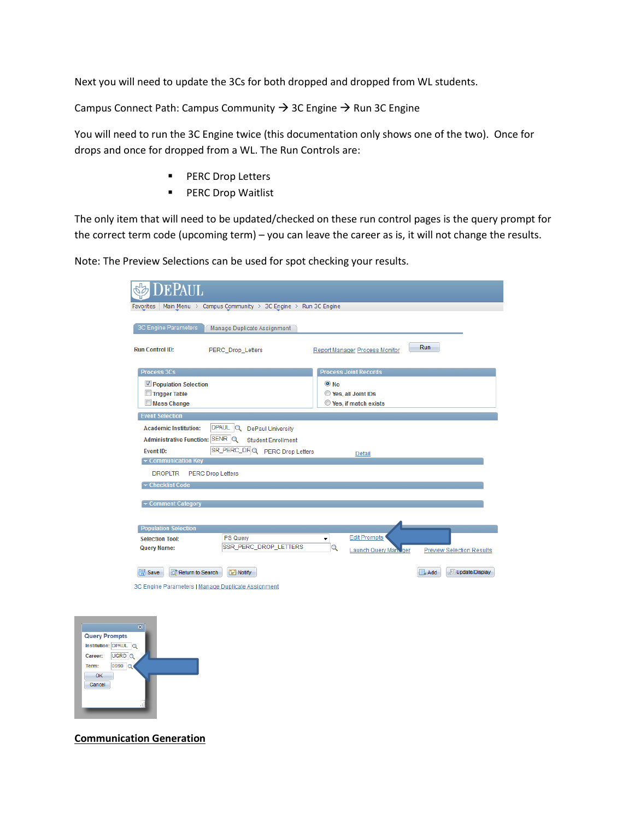Next you will need to update the 3Cs for both dropped and dropped from WL students.

Campus Connect Path: Campus Community  $\rightarrow$  3C Engine  $\rightarrow$  Run 3C Engine

You will need to run the 3C Engine twice (this documentation only shows one of the two). Once for drops and once for dropped from a WL. The Run Controls are:

- **PERC Drop Letters**
- **PERC Drop Waitlist**

The only item that will need to be updated/checked on these run control pages is the query prompt for the correct term code (upcoming term) – you can leave the career as is, it will not change the results.

Note: The Preview Selections can be used for spot checking your results.

| <b>DEPAUL</b>                                                   |                                                                  |            |                                       |                                  |
|-----------------------------------------------------------------|------------------------------------------------------------------|------------|---------------------------------------|----------------------------------|
| Favorites                                                       | Main Menu > Campus Community > 3C Engine > Run 3C Engine         |            |                                       |                                  |
| 3C Engine Parameters<br><b>Run Control ID:</b>                  | Manage Duplicate Assignment                                      |            |                                       | Run                              |
|                                                                 | PERC_Drop_Letters                                                |            | <b>Report Manager Process Monitor</b> |                                  |
| <b>Process 3Cs</b>                                              |                                                                  |            | <b>Process Joint Records</b>          |                                  |
| Population Selection                                            |                                                                  | $\odot$ No |                                       |                                  |
| Trigger Table<br><b>Mass Change</b>                             |                                                                  |            | Yes, all Joint IDs                    |                                  |
|                                                                 |                                                                  |            | <b>O</b> Yes, if match exists         |                                  |
| <b>Event Selection</b>                                          |                                                                  |            |                                       |                                  |
| <b>Academic Institution:</b><br>Administrative Function: SENR Q | DPAUL Q<br><b>DePaul University</b><br><b>Student Enrollment</b> |            |                                       |                                  |
|                                                                 | SR_PERC_DRQ PERC Drop Letters                                    |            |                                       |                                  |
| <b>Event ID:</b><br>$\overline{\mathbf{v}}$ Communication Key   |                                                                  |            | Detail                                |                                  |
| <b>DROPLTR</b>                                                  | <b>PERC Drop Letters</b>                                         |            |                                       |                                  |
| Checklist Code                                                  |                                                                  |            |                                       |                                  |
|                                                                 |                                                                  |            |                                       |                                  |
| Comment Category                                                |                                                                  |            |                                       |                                  |
|                                                                 |                                                                  |            |                                       |                                  |
| <b>Population Selection</b>                                     |                                                                  |            |                                       |                                  |
| <b>Selection Tool:</b>                                          | <b>PS Query</b>                                                  | ۰          | <b>Edit Prompts</b>                   |                                  |
| <b>Query Name:</b>                                              | SSR_PERC_DROP_LETTERS                                            | Q          | <b>Launch Query Many ger</b>          | <b>Preview Selection Results</b> |
| <b>日</b> Save<br>nh Return to Search<br>.<br>. .                | $\left  \equiv \right $ Notify<br>$\sim$<br>.                    |            |                                       | Update/Display<br>$L$ Add        |

3C Engine Parameters | Manage Duplicate Assignment



**Communication Generation**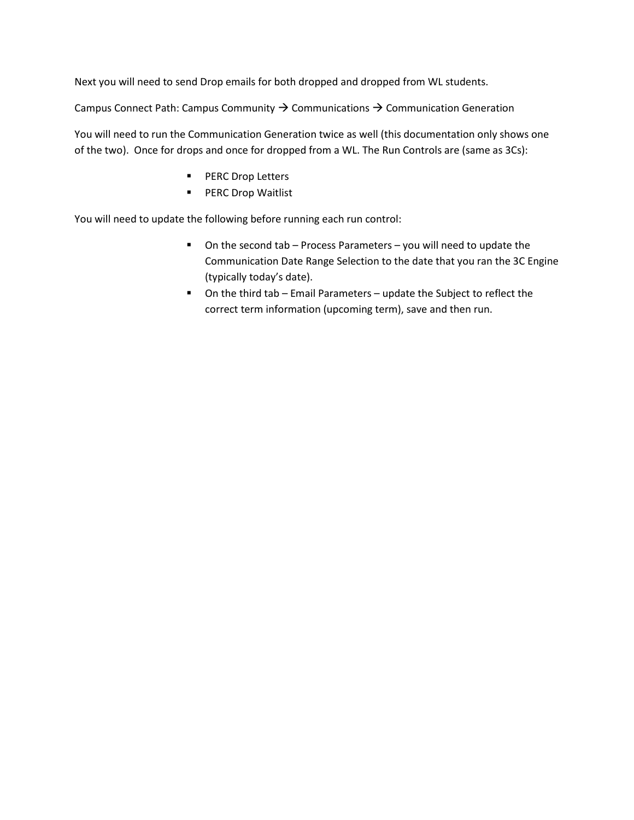Next you will need to send Drop emails for both dropped and dropped from WL students.

Campus Connect Path: Campus Community  $\rightarrow$  Communications  $\rightarrow$  Communication Generation

You will need to run the Communication Generation twice as well (this documentation only shows one of the two). Once for drops and once for dropped from a WL. The Run Controls are (same as 3Cs):

- **PERC Drop Letters**
- **PERC Drop Waitlist**

You will need to update the following before running each run control:

- On the second tab Process Parameters you will need to update the Communication Date Range Selection to the date that you ran the 3C Engine (typically today's date).
- On the third tab Email Parameters update the Subject to reflect the correct term information (upcoming term), save and then run.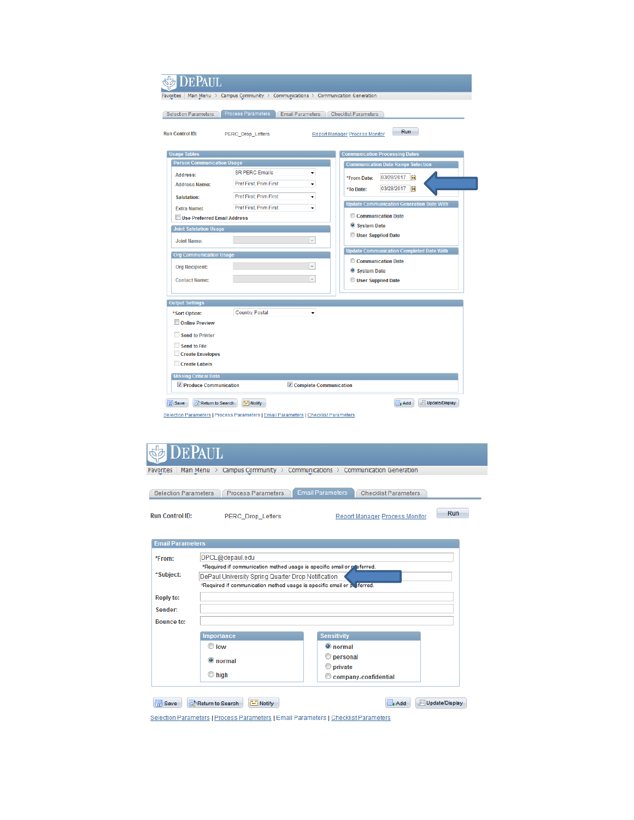| <b>)EPAUL</b><br>Favorites                   | Main Menu > Campus Community > Communications > Communication Generation                        |                                                  |  |  |
|----------------------------------------------|-------------------------------------------------------------------------------------------------|--------------------------------------------------|--|--|
| <b>Selection Parameters</b>                  | Process Parameters<br><b>Email Parameters</b>                                                   | <b>Checklist Parameters</b>                      |  |  |
| <b>Run Control ID:</b>                       | <b>PERC_Drop_Letters</b>                                                                        | Run<br><b>Report Manager Process Monitor</b>     |  |  |
| <b>Usage Tables</b>                          |                                                                                                 | <b>Communication Processing Dates</b>            |  |  |
| <b>Person Communication Usage</b>            |                                                                                                 | <b>Communication Date Range Selection</b>        |  |  |
| <b>Address:</b>                              | <b>SR PERC Emails</b><br>۰                                                                      | 03/28/2017<br>*From Date:<br>Ħ                   |  |  |
| <b>Address Name:</b>                         | Pref First, Prim First<br>۰                                                                     | 03/28/2017<br>BU<br>*To Date:                    |  |  |
| Salutation:                                  | Pref First, Prim First<br>۰                                                                     |                                                  |  |  |
| <b>Extra Name:</b>                           | Pref First, Prim First<br>۰                                                                     | <b>Update Communication Generation Date With</b> |  |  |
| <b>Use Preferred Fmail Address</b>           |                                                                                                 | Communication Date                               |  |  |
| System Date<br><b>Joint Salutation Usage</b> |                                                                                                 |                                                  |  |  |
| <b>Joint Name:</b>                           | $\overline{\phantom{a}}$                                                                        | <b>User Supplied Date</b>                        |  |  |
| <b>Org Communication Usage</b>               |                                                                                                 | <b>Update Communication Completed Date With</b>  |  |  |
|                                              | $\overline{\phantom{a}}$                                                                        | Communication Date                               |  |  |
| <b>Org Recipient:</b>                        |                                                                                                 | System Date                                      |  |  |
| <b>Contact Name:</b>                         | $\overline{\phantom{a}}$                                                                        | User Supplied Date                               |  |  |
| <b>Output Settings</b>                       |                                                                                                 |                                                  |  |  |
| *Sort Option:                                | Country, Postal<br>۰                                                                            |                                                  |  |  |
| Online Preview                               |                                                                                                 |                                                  |  |  |
| <b>Send to Printer</b>                       |                                                                                                 |                                                  |  |  |
| <b>Send to File</b>                          |                                                                                                 |                                                  |  |  |
| <b>Create Envelopes</b>                      |                                                                                                 |                                                  |  |  |
| Create Labels                                |                                                                                                 |                                                  |  |  |
| <b>Missing Critical Data</b>                 |                                                                                                 |                                                  |  |  |
| <b>▽ Produce Communication</b>               | Complete Communication                                                                          |                                                  |  |  |
| <b>日</b> Save<br>Return to Search            | F Notify<br>Selection Parameters   Process Parameters   Email Parameters   Checklist Parameters | Update/Display<br>+Add                           |  |  |

|                             | <b>DEPAUL</b>                                                                                                              |                                                                          |  |  |  |
|-----------------------------|----------------------------------------------------------------------------------------------------------------------------|--------------------------------------------------------------------------|--|--|--|
| <b>Favorites</b>            |                                                                                                                            | Main Menu > Campus Community > Communications > Communication Generation |  |  |  |
|                             |                                                                                                                            |                                                                          |  |  |  |
| <b>Selection Parameters</b> | <b>Process Parameters</b>                                                                                                  | <b>Email Parameters</b><br><b>Checklist Parameters</b>                   |  |  |  |
| <b>Run Control ID:</b>      | <b>PERC Drop Letters</b>                                                                                                   | Run<br><b>Report Manager Process Monitor</b>                             |  |  |  |
| <b>Email Parameters</b>     |                                                                                                                            |                                                                          |  |  |  |
| *From:                      | DPCL@depaul.edu                                                                                                            |                                                                          |  |  |  |
|                             | *Required if communication method usage is specific email or preferred.                                                    |                                                                          |  |  |  |
| *Subject:                   | DePaul University Spring Quarter Drop Notification                                                                         |                                                                          |  |  |  |
|                             | *Required if communication method usage is specific email or p. ferred.                                                    |                                                                          |  |  |  |
| <b>Reply to:</b>            |                                                                                                                            |                                                                          |  |  |  |
| Sender:                     |                                                                                                                            |                                                                          |  |  |  |
| <b>Bounce fo:</b>           |                                                                                                                            |                                                                          |  |  |  |
|                             | <b>Importance</b>                                                                                                          | <b>Sensitivity</b>                                                       |  |  |  |
|                             | $\odot$ low                                                                                                                | O normal                                                                 |  |  |  |
|                             | $\odot$ normal                                                                                                             | ⊙<br>personal                                                            |  |  |  |
|                             |                                                                                                                            | ⊙<br>private                                                             |  |  |  |
|                             | $\circ$ high                                                                                                               | company-confidential                                                     |  |  |  |
| 图 Save                      | $\equiv$ Notify<br>Return to Search<br>Selection Parameters I Process Parameters I Email Parameters I Checklist Parameters | Update/Display<br>$+ Add$                                                |  |  |  |